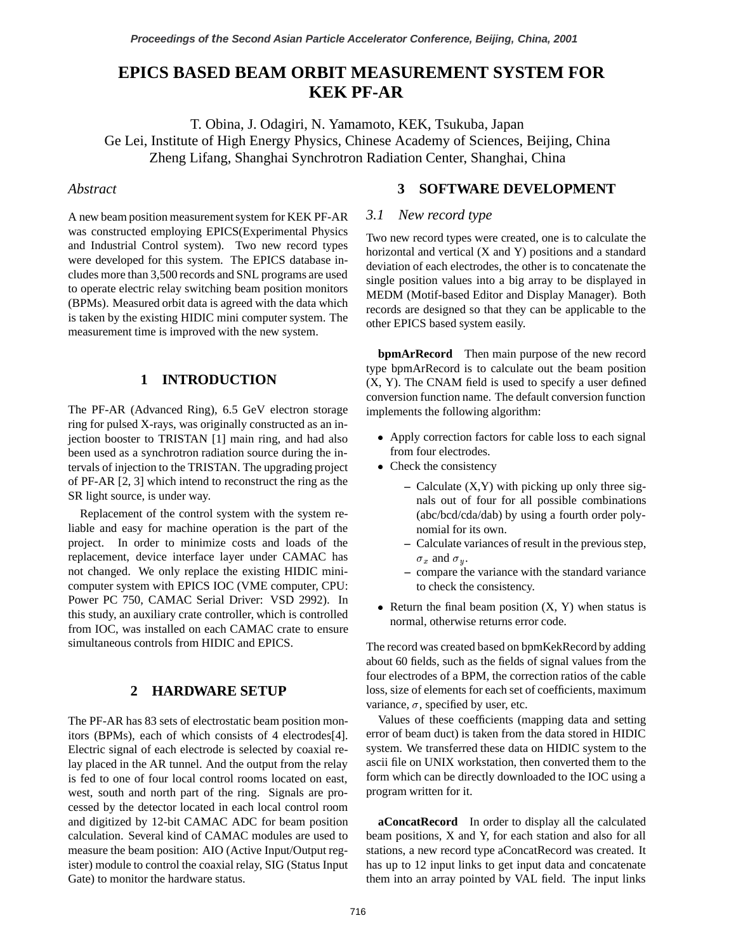# **EPICS BASED BEAM ORBIT MEASUREMENT SYSTEM FOR KEK PF-AR**

T. Obina, J. Odagiri, N. Yamamoto, KEK, Tsukuba, Japan Ge Lei, Institute of High Energy Physics, Chinese Academy of Sciences, Beijing, China Zheng Lifang, Shanghai Synchrotron Radiation Center, Shanghai, China

### *Abstract*

A new beam position measurement system for KEK PF-AR was constructed employing EPICS(Experimental Physics and Industrial Control system). Two new record types were developed for this system. The EPICS database includes more than 3,500 records and SNL programs are used to operate electric relay switching beam position monitors (BPMs). Measured orbit data is agreed with the data which is taken by the existing HIDIC mini computer system. The measurement time is improved with the new system.

## **1 INTRODUCTION**

The PF-AR (Advanced Ring), 6.5 GeV electron storage ring for pulsed X-rays, was originally constructed as an injection booster to TRISTAN [1] main ring, and had also been used as a synchrotron radiation source during the intervals of injection to the TRISTAN. The upgrading project of PF-AR [2, 3] which intend to reconstruct the ring as the SR light source, is under way.

Replacement of the control system with the system reliable and easy for machine operation is the part of the project. In order to minimize costs and loads of the replacement, device interface layer under CAMAC has not changed. We only replace the existing HIDIC minicomputer system with EPICS IOC (VME computer, CPU: Power PC 750, CAMAC Serial Driver: VSD 2992). In this study, an auxiliary crate controller, which is controlled from IOC, was installed on each CAMAC crate to ensure simultaneous controls from HIDIC and EPICS.

#### **2 HARDWARE SETUP**

The PF-AR has 83 sets of electrostatic beam position monitors (BPMs), each of which consists of 4 electrodes[4]. Electric signal of each electrode is selected by coaxial relay placed in the AR tunnel. And the output from the relay is fed to one of four local control rooms located on east, west, south and north part of the ring. Signals are processed by the detector located in each local control room and digitized by 12-bit CAMAC ADC for beam position calculation. Several kind of CAMAC modules are used to measure the beam position: AIO (Active Input/Output register) module to control the coaxial relay, SIG (Status Input Gate) to monitor the hardware status.

### **3 SOFTWARE DEVELOPMENT**

### *3.1 New record type*

Two new record types were created, one is to calculate the horizontal and vertical (X and Y) positions and a standard deviation of each electrodes, the other is to concatenate the single position values into a big array to be displayed in MEDM (Motif-based Editor and Display Manager). Both records are designed so that they can be applicable to the other EPICS based system easily.

**bpmArRecord** Then main purpose of the new record type bpmArRecord is to calculate out the beam position (X, Y). The CNAM field is used to specify a user defined conversion function name. The default conversion function implements the following algorithm:

- Apply correction factors for cable loss to each signal from four electrodes.
- Check the consistency
	- **–** Calculate (X,Y) with picking up only three signals out of four for all possible combinations (abc/bcd/cda/dab) by using a fourth order polynomial for its own.
	- **–** Calculate variances of result in the previous step,  $\sigma_x$  and  $\sigma_y$ .
	- **–** compare the variance with the standard variance to check the consistency.
- Return the final beam position  $(X, Y)$  when status is normal, otherwise returns error code.

The record was created based on bpmKekRecord by adding about 60 fields, such as the fields of signal values from the four electrodes of a BPM, the correction ratios of the cable loss, size of elements for each set of coefficients, maximum variance,  $\sigma$ , specified by user, etc.

Values of these coefficients (mapping data and setting error of beam duct) is taken from the data stored in HIDIC system. We transferred these data on HIDIC system to the ascii file on UNIX workstation, then converted them to the form which can be directly downloaded to the IOC using a program written for it.

**aConcatRecord** In order to display all the calculated beam positions, X and Y, for each station and also for all stations, a new record type aConcatRecord was created. It has up to 12 input links to get input data and concatenate them into an array pointed by VAL field. The input links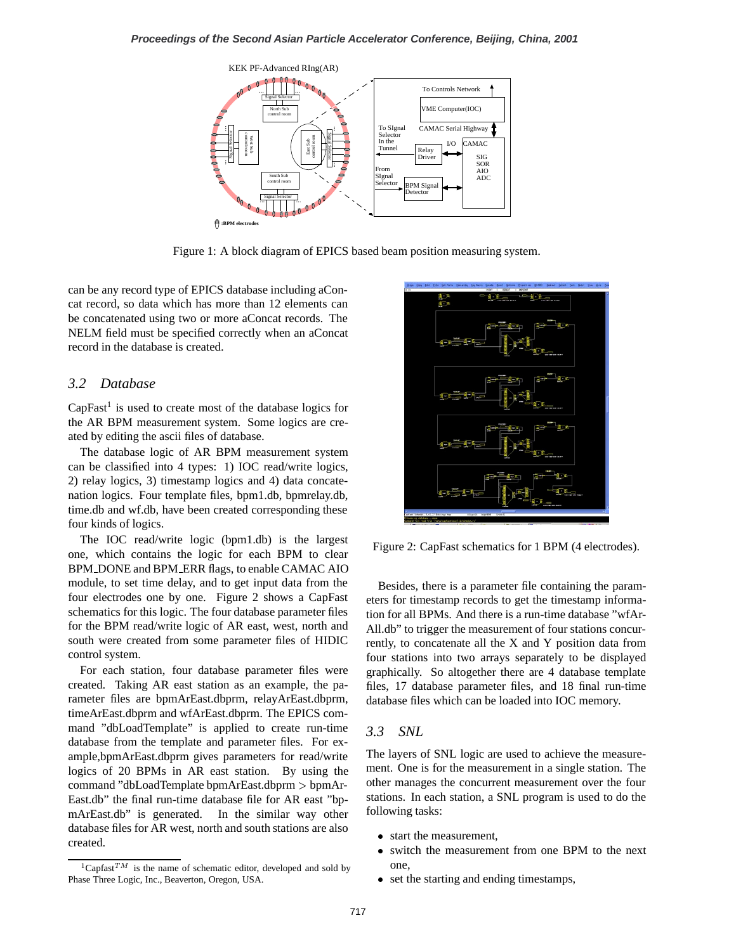

Figure 1: A block diagram of EPICS based beam position measuring system.

can be any record type of EPICS database including aConcat record, so data which has more than 12 elements can be concatenated using two or more aConcat records. The NELM field must be specified correctly when an aConcat record in the database is created.

#### *3.2 Database*

 $CapFast<sup>1</sup>$  is used to create most of the database logics for the AR BPM measurement system. Some logics are created by editing the ascii files of database.

The database logic of AR BPM measurement system can be classified into 4 types: 1) IOC read/write logics, 2) relay logics, 3) timestamp logics and 4) data concatenation logics. Four template files, bpm1.db, bpmrelay.db, time.db and wf.db, have been created corresponding these four kinds of logics.

The IOC read/write logic (bpm1.db) is the largest one, which contains the logic for each BPM to clear BPM DONE and BPM ERR flags, to enable CAMAC AIO module, to set time delay, and to get input data from the four electrodes one by one. Figure 2 shows a CapFast schematics for this logic. The four database parameter files for the BPM read/write logic of AR east, west, north and south were created from some parameter files of HIDIC control system.

For each station, four database parameter files were created. Taking AR east station as an example, the parameter files are bpmArEast.dbprm, relayArEast.dbprm, timeArEast.dbprm and wfArEast.dbprm. The EPICS command "dbLoadTemplate" is applied to create run-time database from the template and parameter files. For example,bpmArEast.dbprm gives parameters for read/write logics of 20 BPMs in AR east station. By using the command "dbLoadTemplate bpmArEast.dbprm <sup>&</sup>gt; bpmAr-East.db" the final run-time database file for AR east "bpmArEast.db" is generated. In the similar way other database files for AR west, north and south stations are also created.



Figure 2: CapFast schematics for 1 BPM (4 electrodes).

Besides, there is a parameter file containing the parameters for timestamp records to get the timestamp information for all BPMs. And there is a run-time database "wfAr-All.db" to trigger the measurement of four stations concurrently, to concatenate all the X and Y position data from four stations into two arrays separately to be displayed graphically. So altogether there are 4 database template files, 17 database parameter files, and 18 final run-time database files which can be loaded into IOC memory.

#### *3.3 SNL*

The layers of SNL logic are used to achieve the measurement. One is for the measurement in a single station. The other manages the concurrent measurement over the four stations. In each station, a SNL program is used to do the following tasks:

- start the measurement,
- switch the measurement from one BPM to the next one,
- set the starting and ending timestamps,

<sup>&</sup>lt;sup>1</sup>Capfast<sup>TM</sup> is the name of schematic editor, developed and sold by Phase Three Logic, Inc., Beaverton, Oregon, USA.